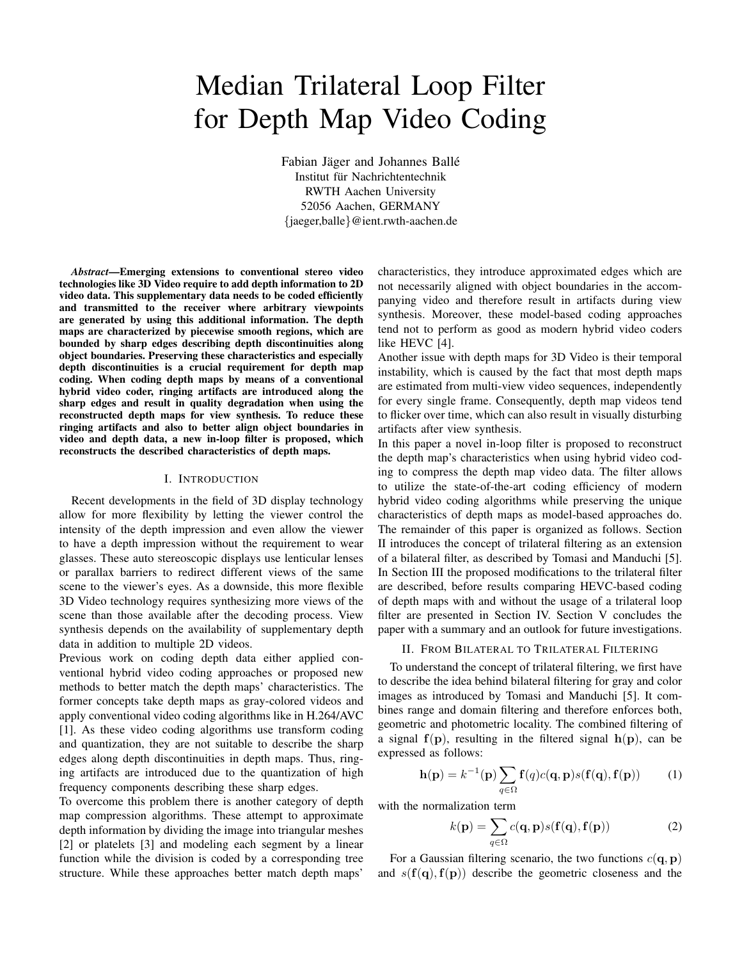# Median Trilateral Loop Filter for Depth Map Video Coding

Fabian Jäger and Johannes Ballé Institut für Nachrichtentechnik RWTH Aachen University 52056 Aachen, GERMANY {jaeger,balle}@ient.rwth-aachen.de

*Abstract*—Emerging extensions to conventional stereo video technologies like 3D Video require to add depth information to 2D video data. This supplementary data needs to be coded efficiently and transmitted to the receiver where arbitrary viewpoints are generated by using this additional information. The depth maps are characterized by piecewise smooth regions, which are bounded by sharp edges describing depth discontinuities along object boundaries. Preserving these characteristics and especially depth discontinuities is a crucial requirement for depth map coding. When coding depth maps by means of a conventional hybrid video coder, ringing artifacts are introduced along the sharp edges and result in quality degradation when using the reconstructed depth maps for view synthesis. To reduce these ringing artifacts and also to better align object boundaries in video and depth data, a new in-loop filter is proposed, which reconstructs the described characteristics of depth maps.

#### I. INTRODUCTION

Recent developments in the field of 3D display technology allow for more flexibility by letting the viewer control the intensity of the depth impression and even allow the viewer to have a depth impression without the requirement to wear glasses. These auto stereoscopic displays use lenticular lenses or parallax barriers to redirect different views of the same scene to the viewer's eyes. As a downside, this more flexible 3D Video technology requires synthesizing more views of the scene than those available after the decoding process. View synthesis depends on the availability of supplementary depth data in addition to multiple 2D videos.

Previous work on coding depth data either applied conventional hybrid video coding approaches or proposed new methods to better match the depth maps' characteristics. The former concepts take depth maps as gray-colored videos and apply conventional video coding algorithms like in H.264/AVC [1]. As these video coding algorithms use transform coding and quantization, they are not suitable to describe the sharp edges along depth discontinuities in depth maps. Thus, ringing artifacts are introduced due to the quantization of high frequency components describing these sharp edges.

To overcome this problem there is another category of depth map compression algorithms. These attempt to approximate depth information by dividing the image into triangular meshes [2] or platelets [3] and modeling each segment by a linear function while the division is coded by a corresponding tree structure. While these approaches better match depth maps'

characteristics, they introduce approximated edges which are not necessarily aligned with object boundaries in the accompanying video and therefore result in artifacts during view synthesis. Moreover, these model-based coding approaches tend not to perform as good as modern hybrid video coders like HEVC [4].

Another issue with depth maps for 3D Video is their temporal instability, which is caused by the fact that most depth maps are estimated from multi-view video sequences, independently for every single frame. Consequently, depth map videos tend to flicker over time, which can also result in visually disturbing artifacts after view synthesis.

In this paper a novel in-loop filter is proposed to reconstruct the depth map's characteristics when using hybrid video coding to compress the depth map video data. The filter allows to utilize the state-of-the-art coding efficiency of modern hybrid video coding algorithms while preserving the unique characteristics of depth maps as model-based approaches do. The remainder of this paper is organized as follows. Section II introduces the concept of trilateral filtering as an extension of a bilateral filter, as described by Tomasi and Manduchi [5]. In Section III the proposed modifications to the trilateral filter are described, before results comparing HEVC-based coding of depth maps with and without the usage of a trilateral loop filter are presented in Section IV. Section V concludes the paper with a summary and an outlook for future investigations.

### II. FROM BILATERAL TO TRILATERAL FILTERING

To understand the concept of trilateral filtering, we first have to describe the idea behind bilateral filtering for gray and color images as introduced by Tomasi and Manduchi [5]. It combines range and domain filtering and therefore enforces both, geometric and photometric locality. The combined filtering of a signal  $f(p)$ , resulting in the filtered signal  $h(p)$ , can be expressed as follows:

$$
\mathbf{h}(\mathbf{p}) = k^{-1}(\mathbf{p}) \sum_{q \in \Omega} \mathbf{f}(q)c(\mathbf{q}, \mathbf{p})s(\mathbf{f}(\mathbf{q}), \mathbf{f}(\mathbf{p})) \tag{1}
$$

with the normalization term

$$
k(\mathbf{p}) = \sum_{q \in \Omega} c(\mathbf{q}, \mathbf{p}) s(\mathbf{f}(\mathbf{q}), \mathbf{f}(\mathbf{p}))
$$
 (2)

For a Gaussian filtering scenario, the two functions  $c(\mathbf{q}, \mathbf{p})$ and  $s(f(q), f(p))$  describe the geometric closeness and the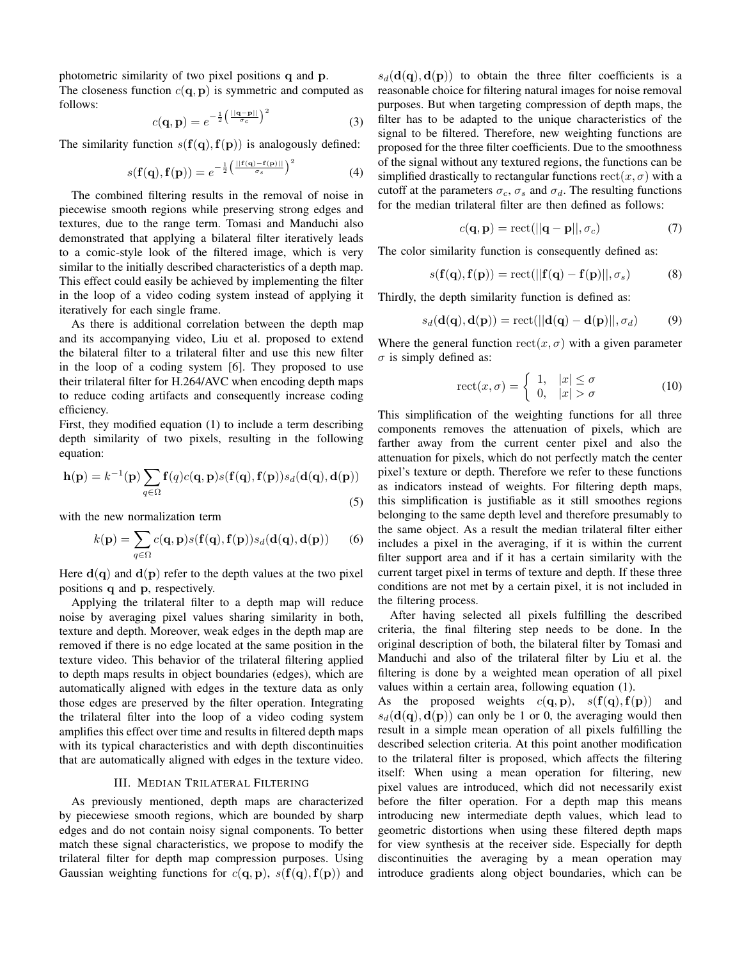photometric similarity of two pixel positions q and p.

The closeness function  $c(\mathbf{q}, \mathbf{p})$  is symmetric and computed as follows:

$$
c(\mathbf{q}, \mathbf{p}) = e^{-\frac{1}{2} \left(\frac{||\mathbf{q} - \mathbf{p}||}{\sigma_c}\right)^2}
$$
(3)

The similarity function  $s(f(q), f(p))$  is analogously defined:

$$
s(\mathbf{f}(\mathbf{q}), \mathbf{f}(\mathbf{p})) = e^{-\frac{1}{2} \left( \frac{||\mathbf{f}(\mathbf{q}) - \mathbf{f}(\mathbf{p})||}{\sigma_s} \right)^2}
$$
(4)

The combined filtering results in the removal of noise in piecewise smooth regions while preserving strong edges and textures, due to the range term. Tomasi and Manduchi also demonstrated that applying a bilateral filter iteratively leads to a comic-style look of the filtered image, which is very similar to the initially described characteristics of a depth map. This effect could easily be achieved by implementing the filter in the loop of a video coding system instead of applying it iteratively for each single frame.

As there is additional correlation between the depth map and its accompanying video, Liu et al. proposed to extend the bilateral filter to a trilateral filter and use this new filter in the loop of a coding system [6]. They proposed to use their trilateral filter for H.264/AVC when encoding depth maps to reduce coding artifacts and consequently increase coding efficiency.

First, they modified equation (1) to include a term describing depth similarity of two pixels, resulting in the following equation:

$$
\mathbf{h}(\mathbf{p}) = k^{-1}(\mathbf{p}) \sum_{q \in \Omega} \mathbf{f}(q)c(\mathbf{q}, \mathbf{p})s(\mathbf{f}(\mathbf{q}), \mathbf{f}(\mathbf{p}))s_d(\mathbf{d}(\mathbf{q}), \mathbf{d}(\mathbf{p}))
$$
\n(5)

with the new normalization term

$$
k(\mathbf{p}) = \sum_{q \in \Omega} c(\mathbf{q}, \mathbf{p}) s(\mathbf{f}(\mathbf{q}), \mathbf{f}(\mathbf{p})) s_d(\mathbf{d}(\mathbf{q}), \mathbf{d}(\mathbf{p})) \qquad (6)
$$

Here  $\mathbf{d}(\mathbf{q})$  and  $\mathbf{d}(\mathbf{p})$  refer to the depth values at the two pixel positions q and p, respectively.

Applying the trilateral filter to a depth map will reduce noise by averaging pixel values sharing similarity in both, texture and depth. Moreover, weak edges in the depth map are removed if there is no edge located at the same position in the texture video. This behavior of the trilateral filtering applied to depth maps results in object boundaries (edges), which are automatically aligned with edges in the texture data as only those edges are preserved by the filter operation. Integrating the trilateral filter into the loop of a video coding system amplifies this effect over time and results in filtered depth maps with its typical characteristics and with depth discontinuities that are automatically aligned with edges in the texture video.

### III. MEDIAN TRILATERAL FILTERING

As previously mentioned, depth maps are characterized by piecewiese smooth regions, which are bounded by sharp edges and do not contain noisy signal components. To better match these signal characteristics, we propose to modify the trilateral filter for depth map compression purposes. Using Gaussian weighting functions for  $c(\mathbf{q}, \mathbf{p})$ ,  $s(\mathbf{f}(\mathbf{q}), \mathbf{f}(\mathbf{p}))$  and

 $s_d(d(q), d(p))$  to obtain the three filter coefficients is a reasonable choice for filtering natural images for noise removal purposes. But when targeting compression of depth maps, the filter has to be adapted to the unique characteristics of the signal to be filtered. Therefore, new weighting functions are proposed for the three filter coefficients. Due to the smoothness of the signal without any textured regions, the functions can be simplified drastically to rectangular functions  $rect(x, \sigma)$  with a cutoff at the parameters  $\sigma_c$ ,  $\sigma_s$  and  $\sigma_d$ . The resulting functions for the median trilateral filter are then defined as follows:

$$
c(\mathbf{q}, \mathbf{p}) = \text{rect}(||\mathbf{q} - \mathbf{p}||, \sigma_c)
$$
 (7)

The color similarity function is consequently defined as:

$$
s(\mathbf{f}(\mathbf{q}), \mathbf{f}(\mathbf{p})) = \text{rect}(||\mathbf{f}(\mathbf{q}) - \mathbf{f}(\mathbf{p})||, \sigma_s)
$$
(8)

Thirdly, the depth similarity function is defined as:

$$
s_d(\mathbf{d}(\mathbf{q}), \mathbf{d}(\mathbf{p})) = \text{rect}(||\mathbf{d}(\mathbf{q}) - \mathbf{d}(\mathbf{p})||, \sigma_d)
$$
(9)

Where the general function  $rect(x, \sigma)$  with a given parameter  $\sigma$  is simply defined as:

$$
\text{rect}(x,\sigma) = \begin{cases} 1, & |x| \le \sigma \\ 0, & |x| > \sigma \end{cases} \tag{10}
$$

This simplification of the weighting functions for all three components removes the attenuation of pixels, which are farther away from the current center pixel and also the attenuation for pixels, which do not perfectly match the center pixel's texture or depth. Therefore we refer to these functions as indicators instead of weights. For filtering depth maps, this simplification is justifiable as it still smoothes regions belonging to the same depth level and therefore presumably to the same object. As a result the median trilateral filter either includes a pixel in the averaging, if it is within the current filter support area and if it has a certain similarity with the current target pixel in terms of texture and depth. If these three conditions are not met by a certain pixel, it is not included in the filtering process.

After having selected all pixels fulfilling the described criteria, the final filtering step needs to be done. In the original description of both, the bilateral filter by Tomasi and Manduchi and also of the trilateral filter by Liu et al. the filtering is done by a weighted mean operation of all pixel values within a certain area, following equation (1).

As the proposed weights  $c(\mathbf{q}, \mathbf{p})$ ,  $s(\mathbf{f}(\mathbf{q}), \mathbf{f}(\mathbf{p}))$  and  $s_d(\mathbf{d}(\mathbf{q}), \mathbf{d}(\mathbf{p}))$  can only be 1 or 0, the averaging would then result in a simple mean operation of all pixels fulfilling the described selection criteria. At this point another modification to the trilateral filter is proposed, which affects the filtering itself: When using a mean operation for filtering, new pixel values are introduced, which did not necessarily exist before the filter operation. For a depth map this means introducing new intermediate depth values, which lead to geometric distortions when using these filtered depth maps for view synthesis at the receiver side. Especially for depth discontinuities the averaging by a mean operation may introduce gradients along object boundaries, which can be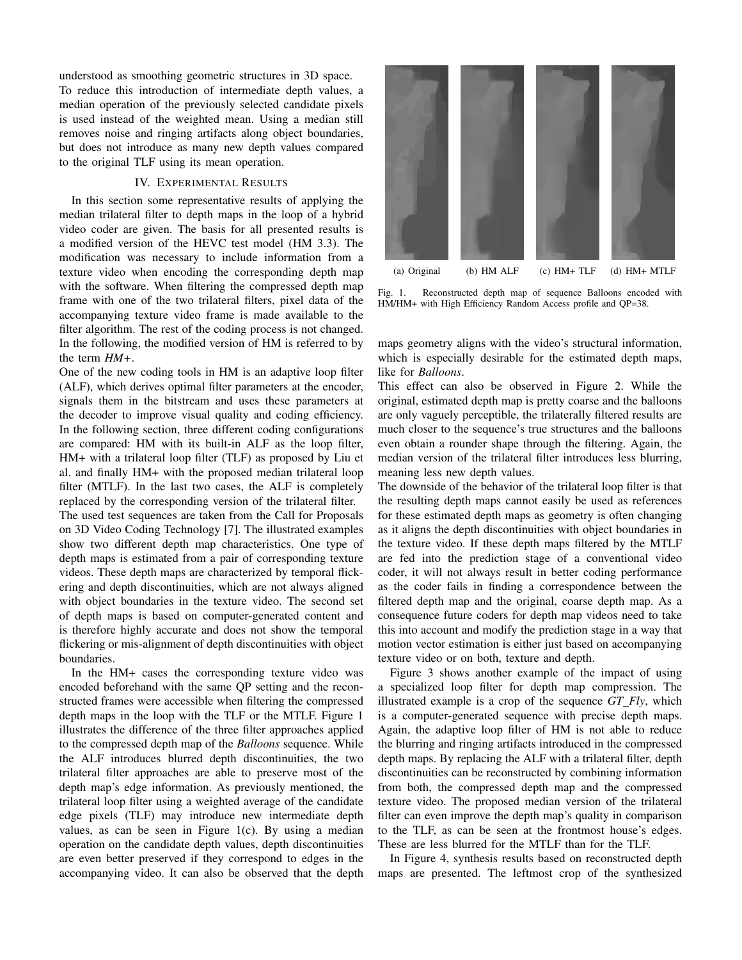understood as smoothing geometric structures in 3D space. To reduce this introduction of intermediate depth values, a median operation of the previously selected candidate pixels is used instead of the weighted mean. Using a median still removes noise and ringing artifacts along object boundaries, but does not introduce as many new depth values compared to the original TLF using its mean operation.

# IV. EXPERIMENTAL RESULTS

In this section some representative results of applying the median trilateral filter to depth maps in the loop of a hybrid video coder are given. The basis for all presented results is a modified version of the HEVC test model (HM 3.3). The modification was necessary to include information from a texture video when encoding the corresponding depth map with the software. When filtering the compressed depth map frame with one of the two trilateral filters, pixel data of the accompanying texture video frame is made available to the filter algorithm. The rest of the coding process is not changed. In the following, the modified version of HM is referred to by the term *HM+*.

One of the new coding tools in HM is an adaptive loop filter (ALF), which derives optimal filter parameters at the encoder, signals them in the bitstream and uses these parameters at the decoder to improve visual quality and coding efficiency. In the following section, three different coding configurations are compared: HM with its built-in ALF as the loop filter, HM+ with a trilateral loop filter (TLF) as proposed by Liu et al. and finally HM+ with the proposed median trilateral loop filter (MTLF). In the last two cases, the ALF is completely replaced by the corresponding version of the trilateral filter. The used test sequences are taken from the Call for Proposals on 3D Video Coding Technology [7]. The illustrated examples show two different depth map characteristics. One type of depth maps is estimated from a pair of corresponding texture

videos. These depth maps are characterized by temporal flickering and depth discontinuities, which are not always aligned with object boundaries in the texture video. The second set of depth maps is based on computer-generated content and is therefore highly accurate and does not show the temporal flickering or mis-alignment of depth discontinuities with object boundaries.

In the HM+ cases the corresponding texture video was encoded beforehand with the same QP setting and the reconstructed frames were accessible when filtering the compressed depth maps in the loop with the TLF or the MTLF. Figure 1 illustrates the difference of the three filter approaches applied to the compressed depth map of the *Balloons* sequence. While the ALF introduces blurred depth discontinuities, the two trilateral filter approaches are able to preserve most of the depth map's edge information. As previously mentioned, the trilateral loop filter using a weighted average of the candidate edge pixels (TLF) may introduce new intermediate depth values, as can be seen in Figure 1(c). By using a median operation on the candidate depth values, depth discontinuities are even better preserved if they correspond to edges in the accompanying video. It can also be observed that the depth



Fig. 1. Reconstructed depth map of sequence Balloons encoded with HM/HM+ with High Efficiency Random Access profile and QP=38.

maps geometry aligns with the video's structural information, which is especially desirable for the estimated depth maps, like for *Balloons*.

This effect can also be observed in Figure 2. While the original, estimated depth map is pretty coarse and the balloons are only vaguely perceptible, the trilaterally filtered results are much closer to the sequence's true structures and the balloons even obtain a rounder shape through the filtering. Again, the median version of the trilateral filter introduces less blurring, meaning less new depth values.

The downside of the behavior of the trilateral loop filter is that the resulting depth maps cannot easily be used as references for these estimated depth maps as geometry is often changing as it aligns the depth discontinuities with object boundaries in the texture video. If these depth maps filtered by the MTLF are fed into the prediction stage of a conventional video coder, it will not always result in better coding performance as the coder fails in finding a correspondence between the filtered depth map and the original, coarse depth map. As a consequence future coders for depth map videos need to take this into account and modify the prediction stage in a way that motion vector estimation is either just based on accompanying texture video or on both, texture and depth.

Figure 3 shows another example of the impact of using a specialized loop filter for depth map compression. The illustrated example is a crop of the sequence *GT Fly*, which is a computer-generated sequence with precise depth maps. Again, the adaptive loop filter of HM is not able to reduce the blurring and ringing artifacts introduced in the compressed depth maps. By replacing the ALF with a trilateral filter, depth discontinuities can be reconstructed by combining information from both, the compressed depth map and the compressed texture video. The proposed median version of the trilateral filter can even improve the depth map's quality in comparison to the TLF, as can be seen at the frontmost house's edges. These are less blurred for the MTLF than for the TLF.

In Figure 4, synthesis results based on reconstructed depth maps are presented. The leftmost crop of the synthesized